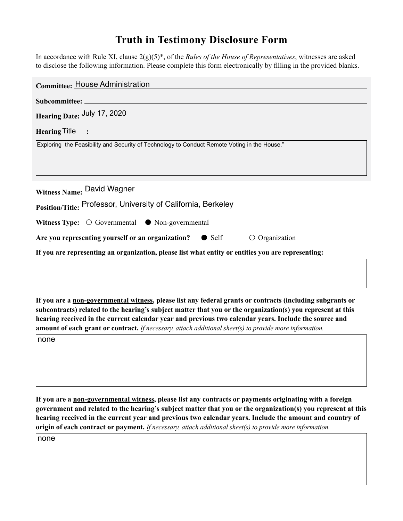## **Truth in Testimony Disclosure Form**

In accordance with Rule XI, clause 2(g)(5)\* of the *Rules of the House of Representatives*, witnesses are asked to disclose the following information. Please complete this form electronically by filling in the provided blanks.

| <b>Committee: House Administration</b>                                                             |
|----------------------------------------------------------------------------------------------------|
|                                                                                                    |
| Hearing Date: July 17, 2020                                                                        |
| Hearing Title :                                                                                    |
| Exploring the Feasibility and Security of Technology to Conduct Remote Voting in the House."       |
|                                                                                                    |
|                                                                                                    |
| Witness Name: David Wagner                                                                         |
| Position/Title: Professor, University of California, Berkeley                                      |
| <b>Witness Type:</b> $\bigcirc$ Governmental $\bullet$ Non-governmental                            |
| Are you representing yourself or an organization? $\bullet$ Self<br>$\circ$ Organization           |
| If you are representing an organization, please list what entity or entities you are representing: |
|                                                                                                    |
|                                                                                                    |

**If you are a non-governmental witness, please list any federal grants or contracts (including subgrants or subcontracts) related to the hearing's subject matter that you or the organization(s) you represent at this hearing received in the current calendar year and previous two calendar years. Include the source and amount of each grant or contract.** *If necessary, attach additional sheet(s) to provide more information.*

none

**If you are a non-governmental witness, please list any contracts or payments originating with a foreign government and related to the hearing's subject matter that you or the organization(s) you represent at this hearing received in the current year and previous two calendar years. Include the amount and country of origin of each contract or payment.** *If necessary, attach additional sheet(s) to provide more information.*

none